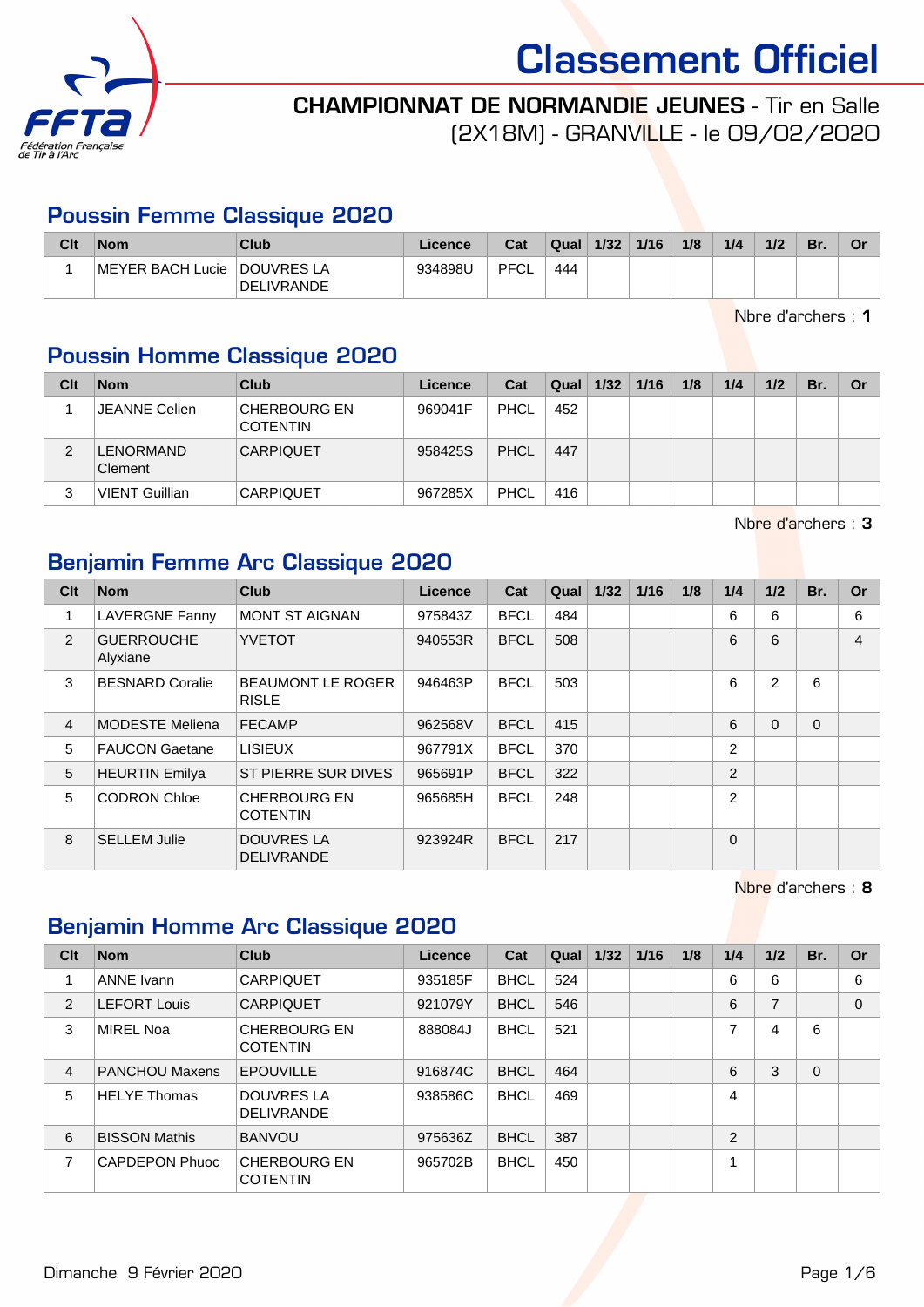



(2X18M) - GRANVILLE - le 09/02/2020

## Poussin Femme Classique 2020

| Clt | <b>Nom</b>                    | Club              | Licence | Cat  | Qual | 1/32 | 1/16 | 1/8 | 1/4 | 1/2 | Br. | Or |
|-----|-------------------------------|-------------------|---------|------|------|------|------|-----|-----|-----|-----|----|
|     | ∣MEYER BACH Lucie ∣DOUVRES LA | <b>DELIVRANDE</b> | 934898U | PFCL | 444  |      |      |     |     |     |     |    |

Nbre d'archers : 1

## Poussin Homme Classique 2020

| Clt | <b>Nom</b>                  | Club                                   | Licence | Cat         | Qual | 1/32 | 1/16 | 1/8 | 1/4 | 1/2 | Br. | Or |
|-----|-----------------------------|----------------------------------------|---------|-------------|------|------|------|-----|-----|-----|-----|----|
|     | <b>JEANNE Celien</b>        | <b>CHERBOURG EN</b><br><b>COTENTIN</b> | 969041F | <b>PHCL</b> | 452  |      |      |     |     |     |     |    |
| 2   | <b>LENORMAND</b><br>Clement | <b>CARPIQUET</b>                       | 958425S | PHCL        | 447  |      |      |     |     |     |     |    |
| 3   | <b>VIENT Guillian</b>       | <b>CARPIQUET</b>                       | 967285X | PHCL        | 416  |      |      |     |     |     |     |    |

Nbre d'archers : 3

## Benjamin Femme Arc Classique 2020

| Clt            | <b>Nom</b>                    | Club                                     | Licence | Cat         | Qual | $1/32$ | $1/16$ | 1/8 | 1/4           | 1/2      | Br.      | Or |
|----------------|-------------------------------|------------------------------------------|---------|-------------|------|--------|--------|-----|---------------|----------|----------|----|
| 1              | <b>LAVERGNE Fanny</b>         | <b>MONT ST AIGNAN</b>                    | 975843Z | <b>BFCL</b> | 484  |        |        |     | 6             | 6        |          | 6  |
| $\mathcal{P}$  | <b>GUERROUCHE</b><br>Alyxiane | <b>YVETOT</b>                            | 940553R | <b>BFCL</b> | 508  |        |        |     | 6             | 6        |          | 4  |
| 3              | <b>BESNARD Coralie</b>        | <b>BEAUMONT LE ROGER</b><br><b>RISLE</b> | 946463P | <b>BFCL</b> | 503  |        |        |     | 6             | 2        | 6        |    |
| $\overline{4}$ | <b>MODESTE Meliena</b>        | <b>FECAMP</b>                            | 962568V | <b>BFCL</b> | 415  |        |        |     | 6             | $\Omega$ | $\Omega$ |    |
| 5              | <b>FAUCON Gaetane</b>         | LISIEUX                                  | 967791X | <b>BFCL</b> | 370  |        |        |     | 2             |          |          |    |
| 5              | <b>HEURTIN Emilya</b>         | ST PIERRE SUR DIVES                      | 965691P | <b>BFCL</b> | 322  |        |        |     | 2             |          |          |    |
| 5              | <b>CODRON Chloe</b>           | <b>CHERBOURG EN</b><br><b>COTENTIN</b>   | 965685H | <b>BFCL</b> | 248  |        |        |     | $\mathcal{P}$ |          |          |    |
| 8              | <b>SELLEM Julie</b>           | <b>DOUVRES LA</b><br><b>DELIVRANDE</b>   | 923924R | <b>BFCL</b> | 217  |        |        |     | $\Omega$      |          |          |    |

Nbre d'archers : 8

### Benjamin Homme Arc Classique 2020

| Clt            | <b>Nom</b>            | Club                                   | Licence | Cat         | Qual | 1/32 | 1/16 | 1/8 | 1/4            | 1/2            | Br.      | Or       |
|----------------|-----------------------|----------------------------------------|---------|-------------|------|------|------|-----|----------------|----------------|----------|----------|
|                | <b>ANNE Ivann</b>     | <b>CARPIQUET</b>                       | 935185F | <b>BHCL</b> | 524  |      |      |     | 6              | 6              |          | 6        |
| $\overline{2}$ | <b>LEFORT Louis</b>   | <b>CARPIQUET</b>                       | 921079Y | <b>BHCL</b> | 546  |      |      |     | 6              | $\overline{7}$ |          | $\Omega$ |
| 3              | <b>MIREL Noa</b>      | <b>CHERBOURG EN</b><br><b>COTENTIN</b> | 888084J | <b>BHCL</b> | 521  |      |      |     | 7              | $\overline{4}$ | 6        |          |
| $\overline{4}$ | <b>PANCHOU Maxens</b> | <b>EPOUVILLE</b>                       | 916874C | <b>BHCL</b> | 464  |      |      |     | 6              | 3              | $\Omega$ |          |
| 5              | <b>HELYE Thomas</b>   | <b>DOUVRES LA</b><br><b>DELIVRANDE</b> | 938586C | <b>BHCL</b> | 469  |      |      |     | $\overline{4}$ |                |          |          |
| 6              | <b>BISSON Mathis</b>  | <b>BANVOU</b>                          | 975636Z | <b>BHCL</b> | 387  |      |      |     | $\overline{2}$ |                |          |          |
| 7              | CAPDEPON Phuoc        | <b>CHERBOURG EN</b><br><b>COTENTIN</b> | 965702B | <b>BHCL</b> | 450  |      |      |     | -4             |                |          |          |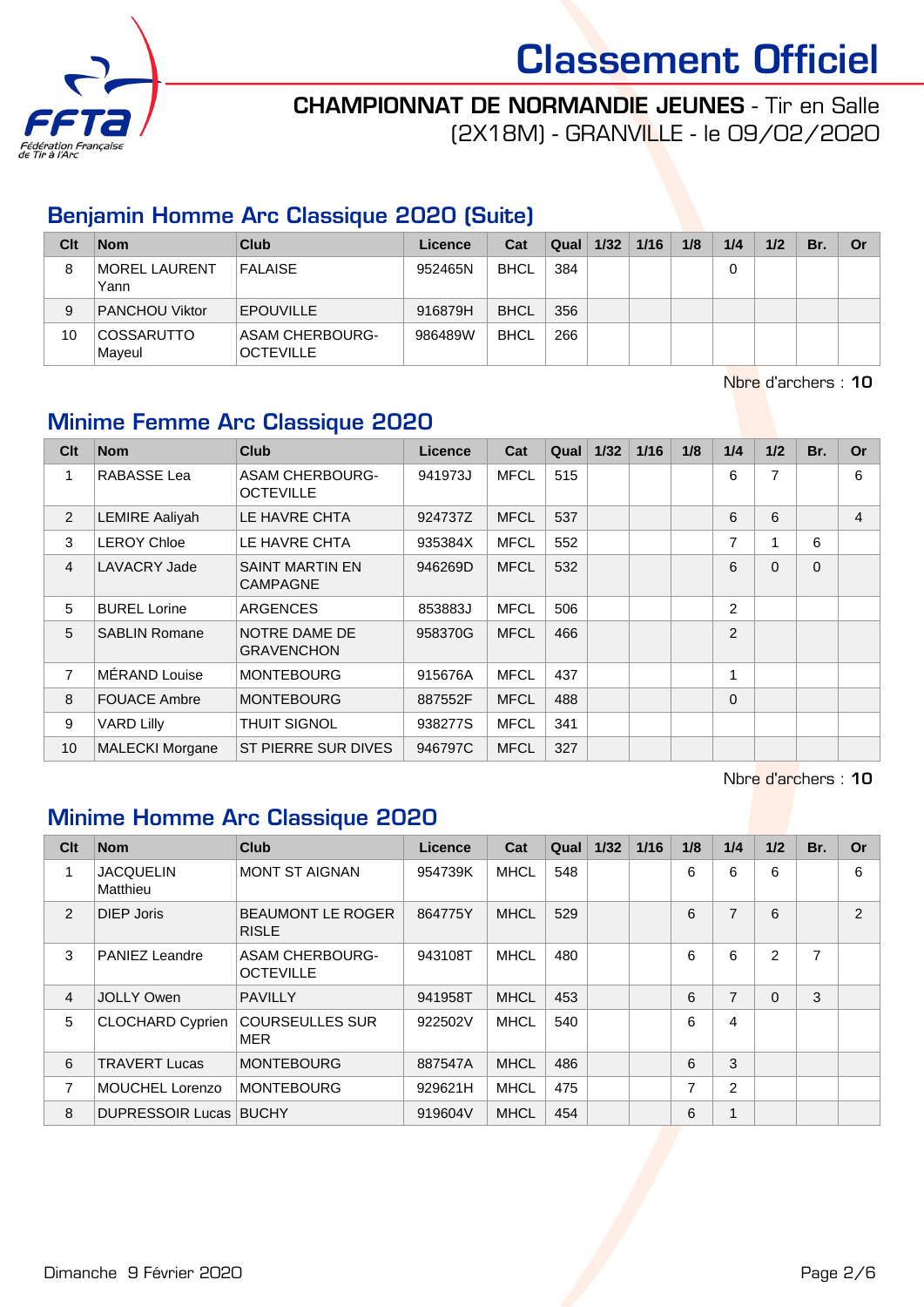



(2X18M) - GRANVILLE - le 09/02/2020

## Benjamin Homme Arc Classique 2020 (Suite)

| Clt | <b>Nom</b>                   | Club                                | Licence | Cat         | Qual | 1/32 | 1/16 | 1/8 | 1/4 | 1/2 | Br. | Or |
|-----|------------------------------|-------------------------------------|---------|-------------|------|------|------|-----|-----|-----|-----|----|
| 8   | <b>MOREL LAURENT</b><br>Yann | <b>FALAISE</b>                      | 952465N | <b>BHCL</b> | 384  |      |      |     | 0   |     |     |    |
| 9   | <b>PANCHOU Viktor</b>        | <b>EPOUVILLE</b>                    | 916879H | <b>BHCL</b> | 356  |      |      |     |     |     |     |    |
| 10  | <b>COSSARUTTO</b><br>Maveul  | ASAM CHERBOURG-<br><b>OCTEVILLE</b> | 986489W | <b>BHCL</b> | 266  |      |      |     |     |     |     |    |

Nbre d'archers : 10

# Minime Femme Arc Classique 2020

| Clt            | <b>Nom</b>             | <b>Club</b>                                | <b>Licence</b> | Cat         | Qual | $1/32$ | 1/16 | 1/8 | 1/4            | 1/2            | Br.      | <b>Or</b> |
|----------------|------------------------|--------------------------------------------|----------------|-------------|------|--------|------|-----|----------------|----------------|----------|-----------|
| 1              | RABASSE Lea            | <b>ASAM CHERBOURG-</b><br><b>OCTEVILLE</b> | 941973J        | <b>MFCL</b> | 515  |        |      |     | 6              | $\overline{7}$ |          | 6         |
| 2              | <b>LEMIRE Aaliyah</b>  | LE HAVRE CHTA                              | 924737Z        | <b>MFCL</b> | 537  |        |      |     | 6              | 6              |          | 4         |
| 3              | <b>LEROY Chloe</b>     | LE HAVRE CHTA                              | 935384X        | <b>MFCL</b> | 552  |        |      |     | 7              | 4              | 6        |           |
| $\overline{4}$ | LAVACRY Jade           | <b>SAINT MARTIN EN</b><br><b>CAMPAGNE</b>  | 946269D        | <b>MFCL</b> | 532  |        |      |     | 6              | $\Omega$       | $\Omega$ |           |
| 5              | <b>BUREL Lorine</b>    | <b>ARGENCES</b>                            | 853883J        | <b>MFCL</b> | 506  |        |      |     | $\overline{2}$ |                |          |           |
| 5              | <b>SABLIN Romane</b>   | NOTRE DAME DE<br><b>GRAVENCHON</b>         | 958370G        | <b>MFCL</b> | 466  |        |      |     | $\overline{2}$ |                |          |           |
| $\overline{7}$ | MÉRAND Louise          | <b>MONTEBOURG</b>                          | 915676A        | <b>MFCL</b> | 437  |        |      |     | 1              |                |          |           |
| 8              | <b>FOUACE Ambre</b>    | <b>MONTEBOURG</b>                          | 887552F        | <b>MFCL</b> | 488  |        |      |     | 0              |                |          |           |
| 9              | <b>VARD Lilly</b>      | <b>THUIT SIGNOL</b>                        | 938277S        | <b>MFCL</b> | 341  |        |      |     |                |                |          |           |
| 10             | <b>MALECKI Morgane</b> | ST PIERRE SUR DIVES                        | 946797C        | <b>MFCL</b> | 327  |        |      |     |                |                |          |           |

Nbre d'archers : 10

## Minime Homme Arc Classique 2020

| Clt           | <b>Nom</b>                    | Club                                       | Licence | Cat         | Qual | 1/32 | 1/16 | 1/8 | 1/4            | 1/2      | Br.            | <b>Or</b>     |
|---------------|-------------------------------|--------------------------------------------|---------|-------------|------|------|------|-----|----------------|----------|----------------|---------------|
|               | <b>JACQUELIN</b><br>Matthieu  | <b>MONT ST AIGNAN</b>                      | 954739K | <b>MHCL</b> | 548  |      |      | 6   | 6              | 6        |                | 6             |
| $\mathcal{P}$ | <b>DIEP Joris</b>             | <b>BEAUMONT LE ROGER</b><br><b>RISLE</b>   | 864775Y | <b>MHCL</b> | 529  |      |      | 6   | $\overline{7}$ | 6        |                | $\mathcal{P}$ |
| 3             | <b>PANIEZ Leandre</b>         | <b>ASAM CHERBOURG-</b><br><b>OCTEVILLE</b> | 943108T | <b>MHCL</b> | 480  |      |      | 6   | 6              | 2        | $\overline{ }$ |               |
| 4             | <b>JOLLY Owen</b>             | <b>PAVILLY</b>                             | 941958T | <b>MHCL</b> | 453  |      |      | 6   | $\overline{7}$ | $\Omega$ | 3              |               |
| 5             | <b>CLOCHARD Cyprien</b>       | <b>COURSEULLES SUR</b><br><b>MER</b>       | 922502V | <b>MHCL</b> | 540  |      |      | 6   | 4              |          |                |               |
| 6             | <b>TRAVERT Lucas</b>          | <b>MONTEBOURG</b>                          | 887547A | <b>MHCL</b> | 486  |      |      | 6   | 3              |          |                |               |
| 7             | <b>MOUCHEL Lorenzo</b>        | <b>MONTEBOURG</b>                          | 929621H | <b>MHCL</b> | 475  |      |      | 7   | $\overline{2}$ |          |                |               |
| 8             | <b>DUPRESSOIR Lucas BUCHY</b> |                                            | 919604V | <b>MHCL</b> | 454  |      |      | 6   | 1              |          |                |               |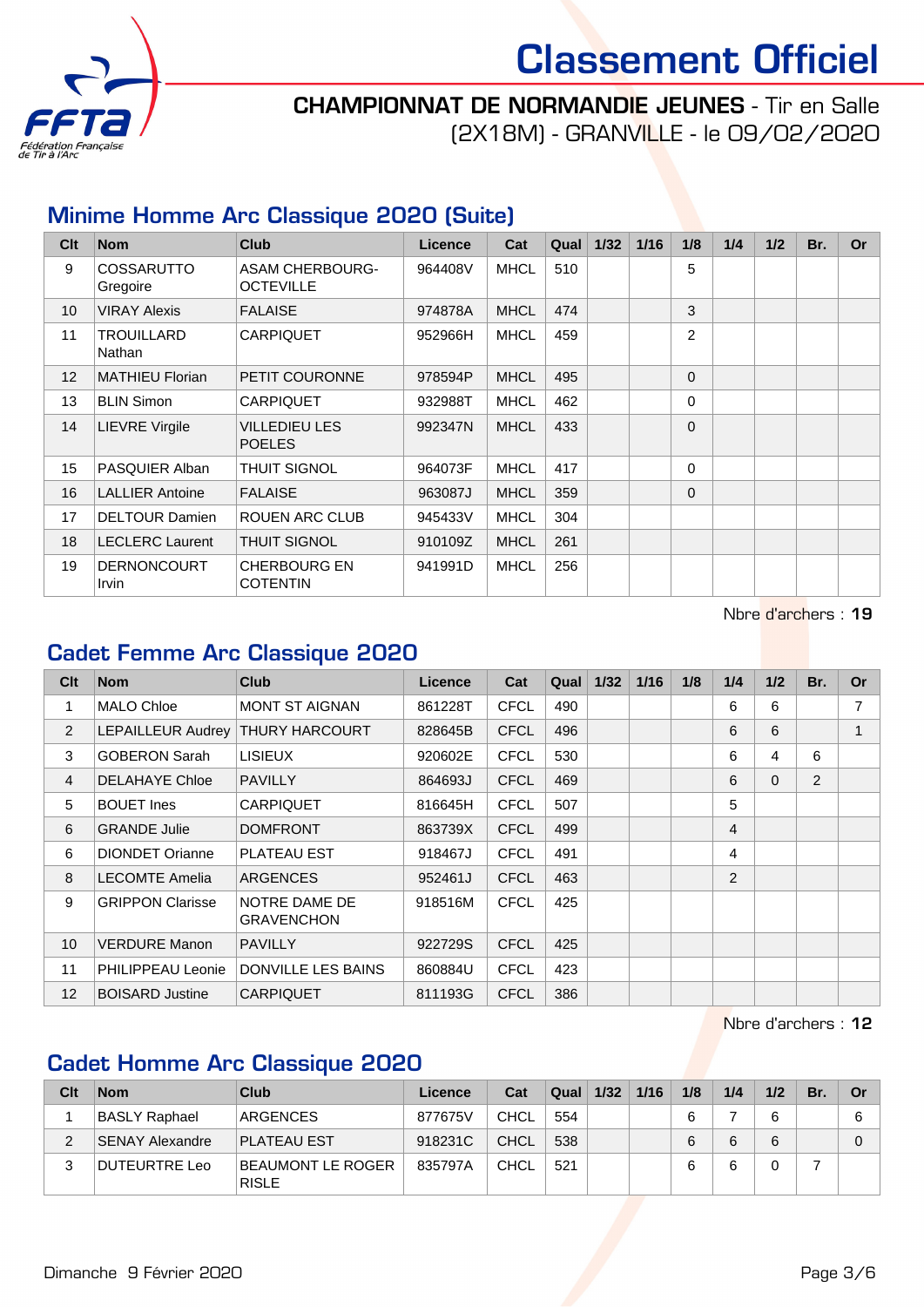



(2X18M) - GRANVILLE - le 09/02/2020

## Minime Homme Arc Classique 2020 (Suite)

| Clt | <b>Nom</b>                    | <b>Club</b>                                | Licence | Cat         | Qual | $1/32$ | 1/16 | 1/8      | 1/4 | 1/2 | Br. | <b>Or</b> |
|-----|-------------------------------|--------------------------------------------|---------|-------------|------|--------|------|----------|-----|-----|-----|-----------|
| 9   | <b>COSSARUTTO</b><br>Gregoire | <b>ASAM CHERBOURG-</b><br><b>OCTEVILLE</b> | 964408V | <b>MHCL</b> | 510  |        |      | 5        |     |     |     |           |
| 10  | <b>VIRAY Alexis</b>           | <b>FALAISE</b>                             | 974878A | <b>MHCL</b> | 474  |        |      | 3        |     |     |     |           |
| 11  | <b>TROUILLARD</b><br>Nathan   | <b>CARPIQUET</b>                           | 952966H | <b>MHCL</b> | 459  |        |      | 2        |     |     |     |           |
| 12  | <b>MATHIEU Florian</b>        | PETIT COURONNE                             | 978594P | <b>MHCL</b> | 495  |        |      | $\Omega$ |     |     |     |           |
| 13  | <b>BLIN Simon</b>             | CARPIQUET                                  | 932988T | <b>MHCL</b> | 462  |        |      | $\Omega$ |     |     |     |           |
| 14  | <b>LIEVRE Virgile</b>         | VILLEDIEU LES<br><b>POELES</b>             | 992347N | <b>MHCL</b> | 433  |        |      | $\Omega$ |     |     |     |           |
| 15  | PASQUIER Alban                | <b>THUIT SIGNOL</b>                        | 964073F | <b>MHCL</b> | 417  |        |      | $\Omega$ |     |     |     |           |
| 16  | <b>LALLIER Antoine</b>        | <b>FALAISE</b>                             | 963087J | <b>MHCL</b> | 359  |        |      | $\Omega$ |     |     |     |           |
| 17  | <b>DELTOUR Damien</b>         | <b>ROUEN ARC CLUB</b>                      | 945433V | <b>MHCL</b> | 304  |        |      |          |     |     |     |           |
| 18  | <b>LECLERC</b> Laurent        | <b>THUIT SIGNOL</b>                        | 910109Z | <b>MHCL</b> | 261  |        |      |          |     |     |     |           |
| 19  | <b>DERNONCOURT</b><br>Irvin   | <b>CHERBOURG EN</b><br><b>COTENTIN</b>     | 941991D | <b>MHCL</b> | 256  |        |      |          |     |     |     |           |

Nbre d'archers : 19

#### Cadet Femme Arc Classique 2020

| Clt             | <b>Nom</b>              | <b>Club</b>                        | <b>Licence</b> | Cat         | Qual | 1/32 | 1/16 | 1/8 | 1/4 | 1/2      | Br.            | <b>Or</b> |
|-----------------|-------------------------|------------------------------------|----------------|-------------|------|------|------|-----|-----|----------|----------------|-----------|
| 1               | <b>MALO Chloe</b>       | <b>MONT ST AIGNAN</b>              | 861228T        | <b>CFCL</b> | 490  |      |      |     | 6   | 6        |                | 7         |
| 2               | LEPAILLEUR Audrey       | THURY HARCOURT                     | 828645B        | <b>CFCL</b> | 496  |      |      |     | 6   | 6        |                |           |
| 3               | <b>GOBERON Sarah</b>    | <b>LISIEUX</b>                     | 920602E        | <b>CFCL</b> | 530  |      |      |     | 6   | 4        | 6              |           |
| $\overline{4}$  | <b>DELAHAYE Chloe</b>   | <b>PAVILLY</b>                     | 864693J        | <b>CFCL</b> | 469  |      |      |     | 6   | $\Omega$ | $\overline{2}$ |           |
| 5               | <b>BOUET</b> Ines       | <b>CARPIQUET</b>                   | 816645H        | <b>CFCL</b> | 507  |      |      |     | 5   |          |                |           |
| 6               | <b>GRANDE Julie</b>     | <b>DOMFRONT</b>                    | 863739X        | <b>CFCL</b> | 499  |      |      |     | 4   |          |                |           |
| 6               | <b>DIONDET Orianne</b>  | <b>PLATEAU EST</b>                 | 918467J        | <b>CFCL</b> | 491  |      |      |     | 4   |          |                |           |
| 8               | <b>LECOMTE Amelia</b>   | <b>ARGENCES</b>                    | 952461J        | <b>CFCL</b> | 463  |      |      |     | 2   |          |                |           |
| 9               | <b>GRIPPON Clarisse</b> | NOTRE DAME DE<br><b>GRAVENCHON</b> | 918516M        | <b>CFCL</b> | 425  |      |      |     |     |          |                |           |
| 10              | <b>VERDURE Manon</b>    | <b>PAVILLY</b>                     | 922729S        | <b>CFCL</b> | 425  |      |      |     |     |          |                |           |
| 11              | PHILIPPEAU Leonie       | <b>DONVILLE LES BAINS</b>          | 860884U        | <b>CFCL</b> | 423  |      |      |     |     |          |                |           |
| 12 <sup>2</sup> | <b>BOISARD Justine</b>  | <b>CARPIQUET</b>                   | 811193G        | <b>CFCL</b> | 386  |      |      |     |     |          |                |           |

Nbre d'archers : 12

## Cadet Homme Arc Classique 2020

| Clt | <b>Nom</b>             | Club                              | Licence | Cat  | Qual | 1/32 | 1/16 | 1/8 | 1/4 | 1/2 | Br | Or |
|-----|------------------------|-----------------------------------|---------|------|------|------|------|-----|-----|-----|----|----|
|     | <b>BASLY Raphael</b>   | <b>ARGENCES</b>                   | 877675V | CHCL | 554  |      |      | 6   |     | 6   |    | 6  |
|     | <b>SENAY Alexandre</b> | <b>PLATEAU EST</b>                | 918231C | CHCL | 538  |      |      | 6   |     | 6   |    |    |
|     | DUTEURTRE Leo          | BEAUMONT LE ROGER<br><b>RISLE</b> | 835797A | CHCL | 521  |      |      | 6   |     |     |    |    |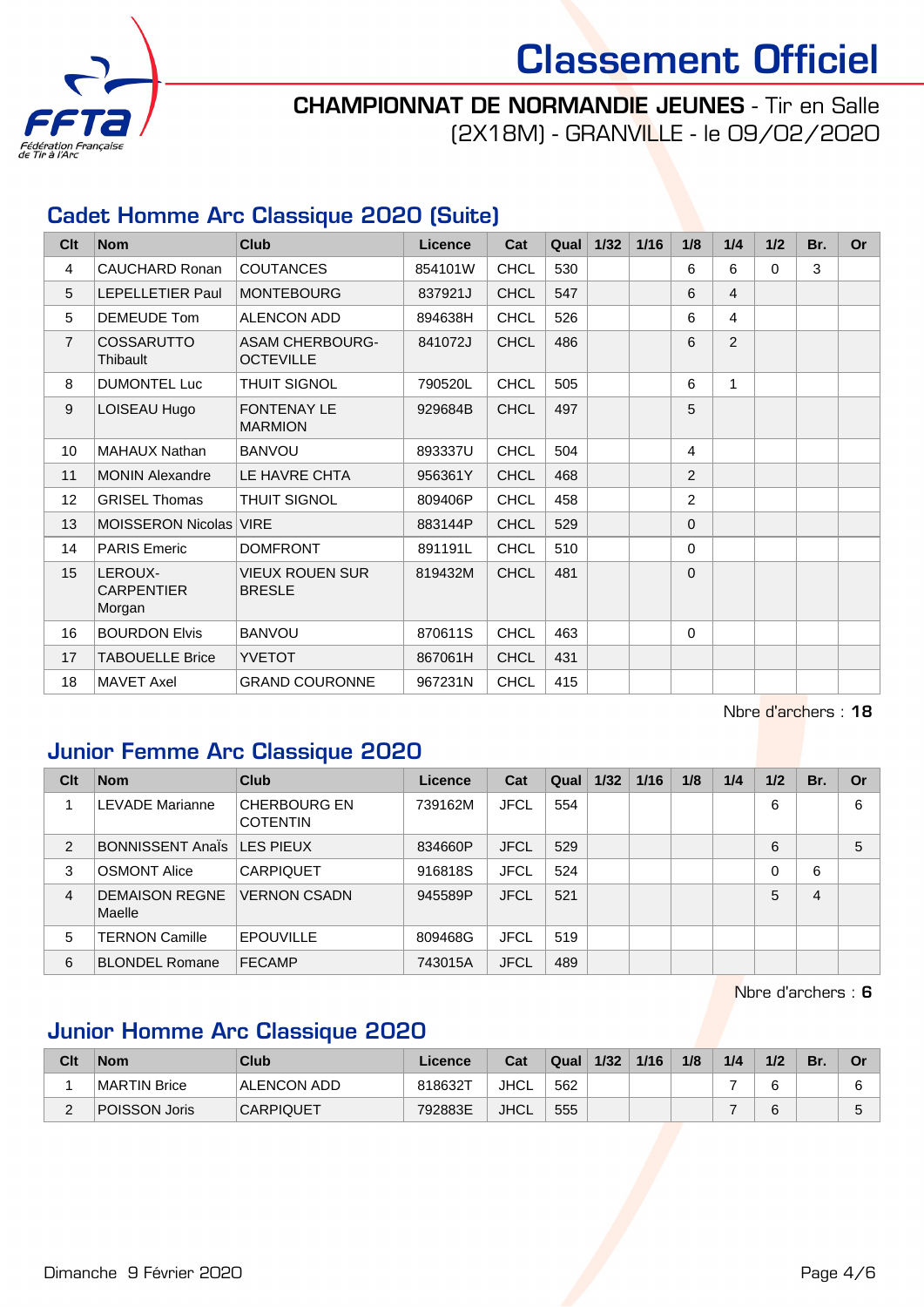

# Classement Officiel

## CHAMPIONNAT DE NORMANDIE JEUNES - Tir en Salle

(2X18M) - GRANVILLE - le 09/02/2020

## Cadet Homme Arc Classique 2020 (Suite)

| Clt            | <b>Nom</b>                             | <b>Club</b>                                | Licence | Cat         | Qual | 1/32 | 1/16 | 1/8            | 1/4            | 1/2      | Br. | <b>Or</b> |
|----------------|----------------------------------------|--------------------------------------------|---------|-------------|------|------|------|----------------|----------------|----------|-----|-----------|
| $\overline{4}$ | CAUCHARD Ronan                         | <b>COUTANCES</b>                           | 854101W | <b>CHCL</b> | 530  |      |      | 6              | 6              | $\Omega$ | 3   |           |
| 5              | <b>LEPELLETIER Paul</b>                | <b>MONTEBOURG</b>                          | 837921J | <b>CHCL</b> | 547  |      |      | 6              | $\overline{4}$ |          |     |           |
| 5              | DEMEUDE Tom                            | ALENCON ADD                                | 894638H | <b>CHCL</b> | 526  |      |      | 6              | $\overline{4}$ |          |     |           |
| $\overline{7}$ | <b>COSSARUTTO</b><br>Thibault          | <b>ASAM CHERBOURG-</b><br><b>OCTEVILLE</b> | 841072J | <b>CHCL</b> | 486  |      |      | 6              | 2              |          |     |           |
| 8              | <b>DUMONTEL Luc</b>                    | THUIT SIGNOL                               | 790520L | <b>CHCL</b> | 505  |      |      | 6              | 1              |          |     |           |
| 9              | LOISEAU Hugo                           | <b>FONTENAY LE</b><br><b>MARMION</b>       | 929684B | <b>CHCL</b> | 497  |      |      | 5              |                |          |     |           |
| 10             | <b>MAHAUX Nathan</b>                   | <b>BANVOU</b>                              | 893337U | <b>CHCL</b> | 504  |      |      | 4              |                |          |     |           |
| 11             | <b>MONIN Alexandre</b>                 | LE HAVRE CHTA                              | 956361Y | <b>CHCL</b> | 468  |      |      | 2              |                |          |     |           |
| 12             | <b>GRISEL Thomas</b>                   | <b>THUIT SIGNOL</b>                        | 809406P | <b>CHCL</b> | 458  |      |      | $\overline{2}$ |                |          |     |           |
| 13             | MOISSERON Nicolas VIRE                 |                                            | 883144P | <b>CHCL</b> | 529  |      |      | $\Omega$       |                |          |     |           |
| 14             | <b>PARIS Emeric</b>                    | <b>DOMFRONT</b>                            | 891191L | <b>CHCL</b> | 510  |      |      | $\Omega$       |                |          |     |           |
| 15             | LEROUX-<br><b>CARPENTIER</b><br>Morgan | VIEUX ROUEN SUR<br><b>BRESLE</b>           | 819432M | <b>CHCL</b> | 481  |      |      | $\Omega$       |                |          |     |           |
| 16             | <b>BOURDON Elvis</b>                   | <b>BANVOU</b>                              | 870611S | <b>CHCL</b> | 463  |      |      | 0              |                |          |     |           |
| 17             | <b>TABOUELLE Brice</b>                 | <b>YVETOT</b>                              | 867061H | <b>CHCL</b> | 431  |      |      |                |                |          |     |           |
| 18             | <b>MAVET Axel</b>                      | <b>GRAND COURONNE</b>                      | 967231N | <b>CHCL</b> | 415  |      |      |                |                |          |     |           |

Nbre d'archers : 18

## Junior Femme Arc Classique 2020

| Clt            | <b>Nom</b>                      | Club                                   | <b>Licence</b> | Cat         | Qual | 1/32 | 1/16 | 1/8 | 1/4 | 1/2 | Br. | Or |
|----------------|---------------------------------|----------------------------------------|----------------|-------------|------|------|------|-----|-----|-----|-----|----|
|                | <b>LEVADE Marianne</b>          | <b>CHERBOURG EN</b><br><b>COTENTIN</b> | 739162M        | <b>JFCL</b> | 554  |      |      |     |     | 6   |     | 6  |
| 2              | <b>BONNISSENT Anals</b>         | LES PIEUX                              | 834660P        | <b>JFCL</b> | 529  |      |      |     |     | 6   |     | 5  |
| 3              | <b>OSMONT Alice</b>             | <b>CARPIQUET</b>                       | 916818S        | <b>JFCL</b> | 524  |      |      |     |     | 0   | 6   |    |
| $\overline{4}$ | <b>DEMAISON REGNE</b><br>Maelle | <b>VERNON CSADN</b>                    | 945589P        | <b>JFCL</b> | 521  |      |      |     |     | 5   | 4   |    |
| 5              | <b>TERNON Camille</b>           | <b>EPOUVILLE</b>                       | 809468G        | JFCL        | 519  |      |      |     |     |     |     |    |
| 6              | <b>BLONDEL Romane</b>           | <b>FECAMP</b>                          | 743015A        | <b>JFCL</b> | 489  |      |      |     |     |     |     |    |

Nbre d'archers : 6

## Junior Homme Arc Classique 2020

| Clt | <b>Nom</b>    | Club               | Licence | Cat         | Qual | 1/32 | 1/16 | 1/8 | 1/4 | 1/2 | Br. | Or     |
|-----|---------------|--------------------|---------|-------------|------|------|------|-----|-----|-----|-----|--------|
|     | MARTIN Brice  | <b>ALENCON ADD</b> | 818632T | <b>JHCL</b> | 562  |      |      |     |     | n   |     |        |
| -   | POISSON Joris | <b>CARPIQUET</b>   | 792883E | <b>JHCL</b> | 555  |      |      |     |     | ี   |     | $\sim$ |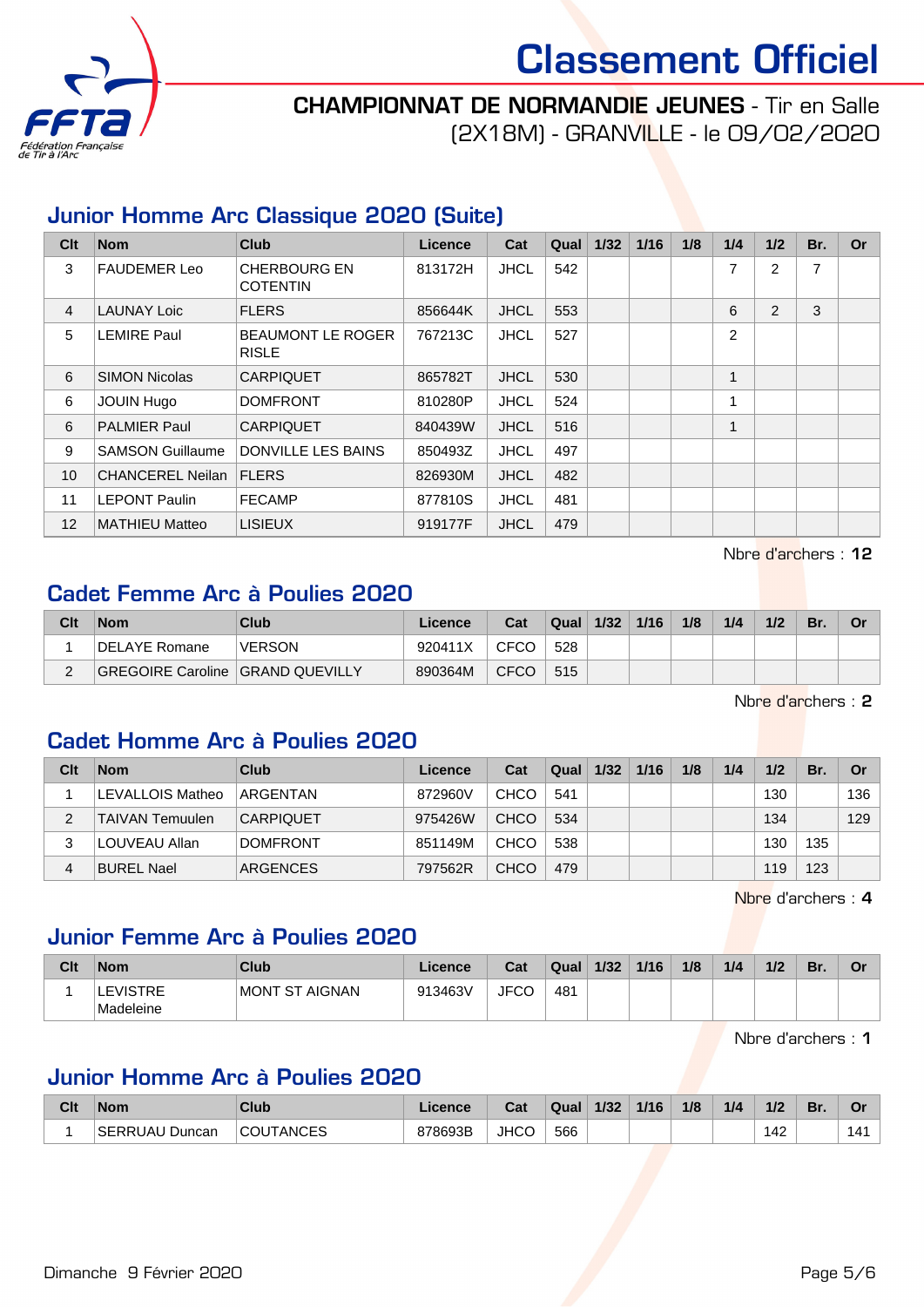



(2X18M) - GRANVILLE - le 09/02/2020

## Junior Homme Arc Classique 2020 (Suite)

| Clt            | <b>Nom</b>              | <b>Club</b>                              | <b>Licence</b> | Cat         | Qual | 1/32 | 1/16 | 1/8 | 1/4            | 1/2 | Br. | <b>Or</b> |
|----------------|-------------------------|------------------------------------------|----------------|-------------|------|------|------|-----|----------------|-----|-----|-----------|
| 3              | <b>FAUDEMER Leo</b>     | <b>CHERBOURG EN</b><br><b>COTENTIN</b>   | 813172H        | <b>JHCL</b> | 542  |      |      |     | 7              | 2   | 7   |           |
| $\overline{4}$ | <b>LAUNAY Loic</b>      | <b>FLERS</b>                             | 856644K        | <b>JHCL</b> | 553  |      |      |     | 6              | 2   | 3   |           |
| 5              | <b>LEMIRE Paul</b>      | <b>BEAUMONT LE ROGER</b><br><b>RISLE</b> | 767213C        | <b>JHCL</b> | 527  |      |      |     | $\overline{2}$ |     |     |           |
| 6              | <b>SIMON Nicolas</b>    | <b>CARPIQUET</b>                         | 865782T        | <b>JHCL</b> | 530  |      |      |     | 1              |     |     |           |
| 6              | <b>JOUIN Hugo</b>       | <b>DOMFRONT</b>                          | 810280P        | <b>JHCL</b> | 524  |      |      |     | 1              |     |     |           |
| 6              | <b>PALMIER Paul</b>     | <b>CARPIQUET</b>                         | 840439W        | <b>JHCL</b> | 516  |      |      |     | 1              |     |     |           |
| 9              | <b>SAMSON Guillaume</b> | <b>DONVILLE LES BAINS</b>                | 850493Z        | <b>JHCL</b> | 497  |      |      |     |                |     |     |           |
| 10             | <b>CHANCEREL Neilan</b> | <b>FLERS</b>                             | 826930M        | <b>JHCL</b> | 482  |      |      |     |                |     |     |           |
| 11             | <b>LEPONT Paulin</b>    | <b>FECAMP</b>                            | 877810S        | <b>JHCL</b> | 481  |      |      |     |                |     |     |           |
| 12             | <b>MATHIEU Matteo</b>   | <b>LISIEUX</b>                           | 919177F        | <b>JHCL</b> | 479  |      |      |     |                |     |     |           |

Nbre d'archers : 12

#### Cadet Femme Arc à Poulies 2020

| Clt | <b>Nom</b>                         | Club          | Licence | Cat         | <b>Qual</b> ⊾ | 1/32 | 1/16 | 1/8 | 1/4 | 1/2 | Br. | Or |
|-----|------------------------------------|---------------|---------|-------------|---------------|------|------|-----|-----|-----|-----|----|
|     | DELAYE Romane                      | <b>VERSON</b> | 920411X | CFCO        | 528           |      |      |     |     |     |     |    |
|     | GREGOIRE Caroline   GRAND QUEVILLY |               | 890364M | <b>CFCO</b> | 515           |      |      |     |     |     |     |    |

Nbre d'archers : 2

#### Cadet Homme Arc à Poulies 2020

| Clt | <b>Nom</b>             | Club             | Licence | Cat         | Qual | 1/32 | 1/16 | 1/8 | 1/4 | 1/2 | Br. | Or  |
|-----|------------------------|------------------|---------|-------------|------|------|------|-----|-----|-----|-----|-----|
|     | LEVALLOIS Matheo       | ARGENTAN         | 872960V | <b>CHCO</b> | 541  |      |      |     |     | 130 |     | 136 |
|     | <b>TAIVAN Temuulen</b> | <b>CARPIQUET</b> | 975426W | <b>CHCO</b> | 534  |      |      |     |     | 134 |     | 129 |
| 3   | LOUVEAU Allan          | <b>DOMFRONT</b>  | 851149M | <b>CHCO</b> | 538  |      |      |     |     | 130 | 135 |     |
| 4   | <b>BUREL Nael</b>      | <b>ARGENCES</b>  | 797562R | <b>CHCO</b> | 479  |      |      |     |     | 119 | 123 |     |

Nbre d'archers : 4

#### Junior Femme Arc à Poulies 2020

| Clt | <b>Nom</b>                   | Club           | Licence | Cat  | Qual | 1/32 | 1/16 | 1/8 | 1/4 | 1/2 | 'Br. | Or |
|-----|------------------------------|----------------|---------|------|------|------|------|-----|-----|-----|------|----|
|     | <b>LEVISTRE</b><br>Madeleine | MONT ST AIGNAN | 913463V | JFCO | 481  |      |      |     |     |     |      |    |

Nbre d'archers : 1

#### Junior Homme Arc à Poulies 2020

| Clt | <b>Nom</b>     | <b>Club</b>           | .icence | Cat         | Qual | 1/32 | 1/16 | 1/8 | 1/4 | 1/2 | Br. | ັ   |
|-----|----------------|-----------------------|---------|-------------|------|------|------|-----|-----|-----|-----|-----|
|     | SERRUAU Duncan | <b>JTANCES</b><br>COU | 878693B | <b>JHCO</b> | 566  |      |      |     |     | 142 |     | 141 |